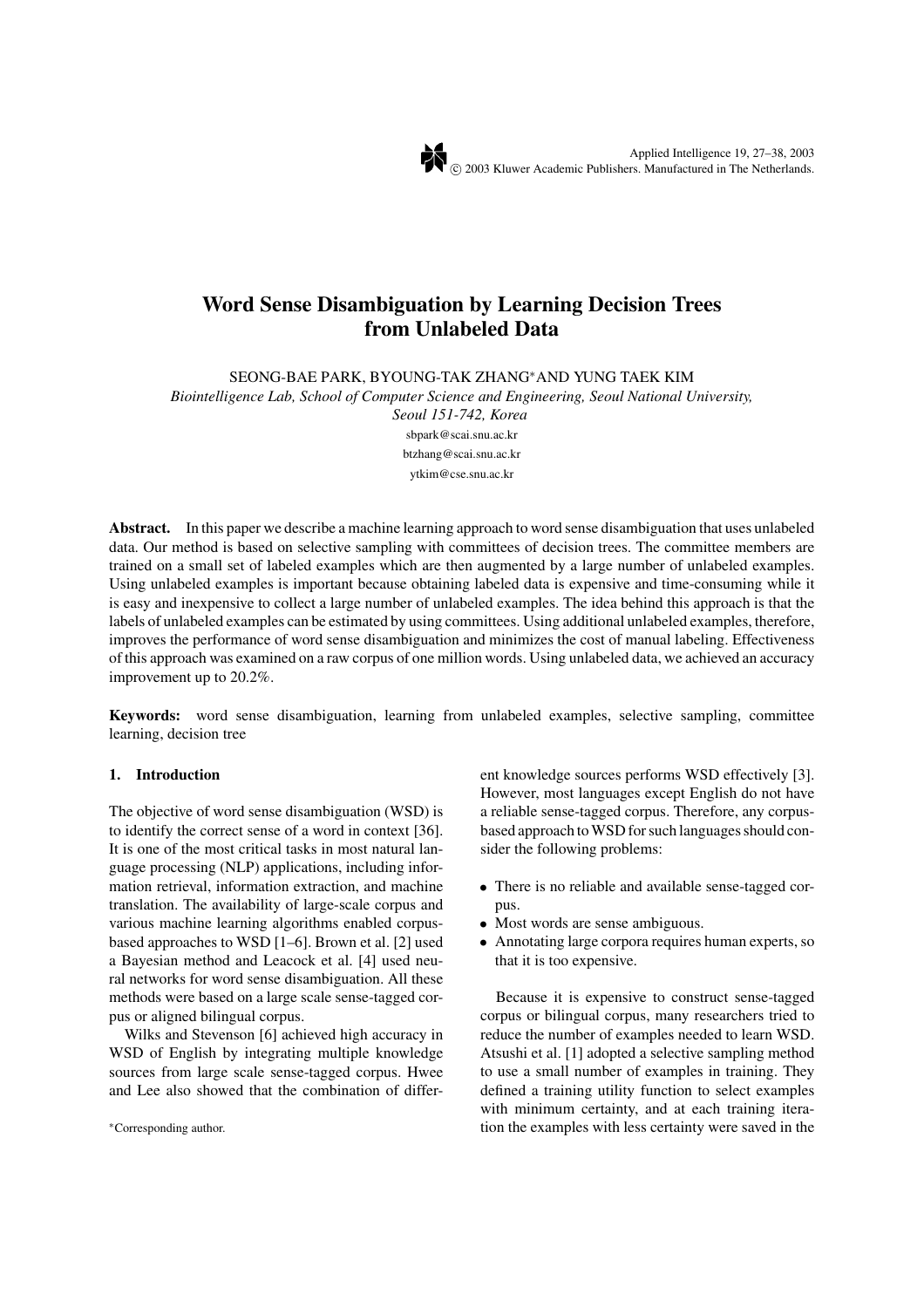# **Word Sense Disambiguation by Learning Decision Trees from Unlabeled Data**

SEONG-BAE PARK, BYOUNG-TAK ZHANG<sup>∗</sup>AND YUNG TAEK KIM

*Biointelligence Lab, School of Computer Science and Engineering, Seoul National University,*

*Seoul 151-742, Korea* sbpark@scai.snu.ac.kr btzhang@scai.snu.ac.kr ytkim@cse.snu.ac.kr

**Abstract.** In this paper we describe a machine learning approach to word sense disambiguation that uses unlabeled data. Our method is based on selective sampling with committees of decision trees. The committee members are trained on a small set of labeled examples which are then augmented by a large number of unlabeled examples. Using unlabeled examples is important because obtaining labeled data is expensive and time-consuming while it is easy and inexpensive to collect a large number of unlabeled examples. The idea behind this approach is that the labels of unlabeled examples can be estimated by using committees. Using additional unlabeled examples, therefore, improves the performance of word sense disambiguation and minimizes the cost of manual labeling. Effectiveness of this approach was examined on a raw corpus of one million words. Using unlabeled data, we achieved an accuracy improvement up to 20.2%.

**Keywords:** word sense disambiguation, learning from unlabeled examples, selective sampling, committee learning, decision tree

### **1. Introduction**

The objective of word sense disambiguation (WSD) is to identify the correct sense of a word in context [36]. It is one of the most critical tasks in most natural language processing (NLP) applications, including information retrieval, information extraction, and machine translation. The availability of large-scale corpus and various machine learning algorithms enabled corpusbased approaches to WSD [1–6]. Brown et al. [2] used a Bayesian method and Leacock et al. [4] used neural networks for word sense disambiguation. All these methods were based on a large scale sense-tagged corpus or aligned bilingual corpus.

Wilks and Stevenson [6] achieved high accuracy in WSD of English by integrating multiple knowledge sources from large scale sense-tagged corpus. Hwee and Lee also showed that the combination of differ-

<sup>∗</sup>Corresponding author.

ent knowledge sources performs WSD effectively [3]. However, most languages except English do not have a reliable sense-tagged corpus. Therefore, any corpusbased approach to WSD for such languages should consider the following problems:

- There is no reliable and available sense-tagged corpus.
- Most words are sense ambiguous.
- Annotating large corpora requires human experts, so that it is too expensive.

Because it is expensive to construct sense-tagged corpus or bilingual corpus, many researchers tried to reduce the number of examples needed to learn WSD. Atsushi et al. [1] adopted a selective sampling method to use a small number of examples in training. They defined a training utility function to select examples with minimum certainty, and at each training iteration the examples with less certainty were saved in the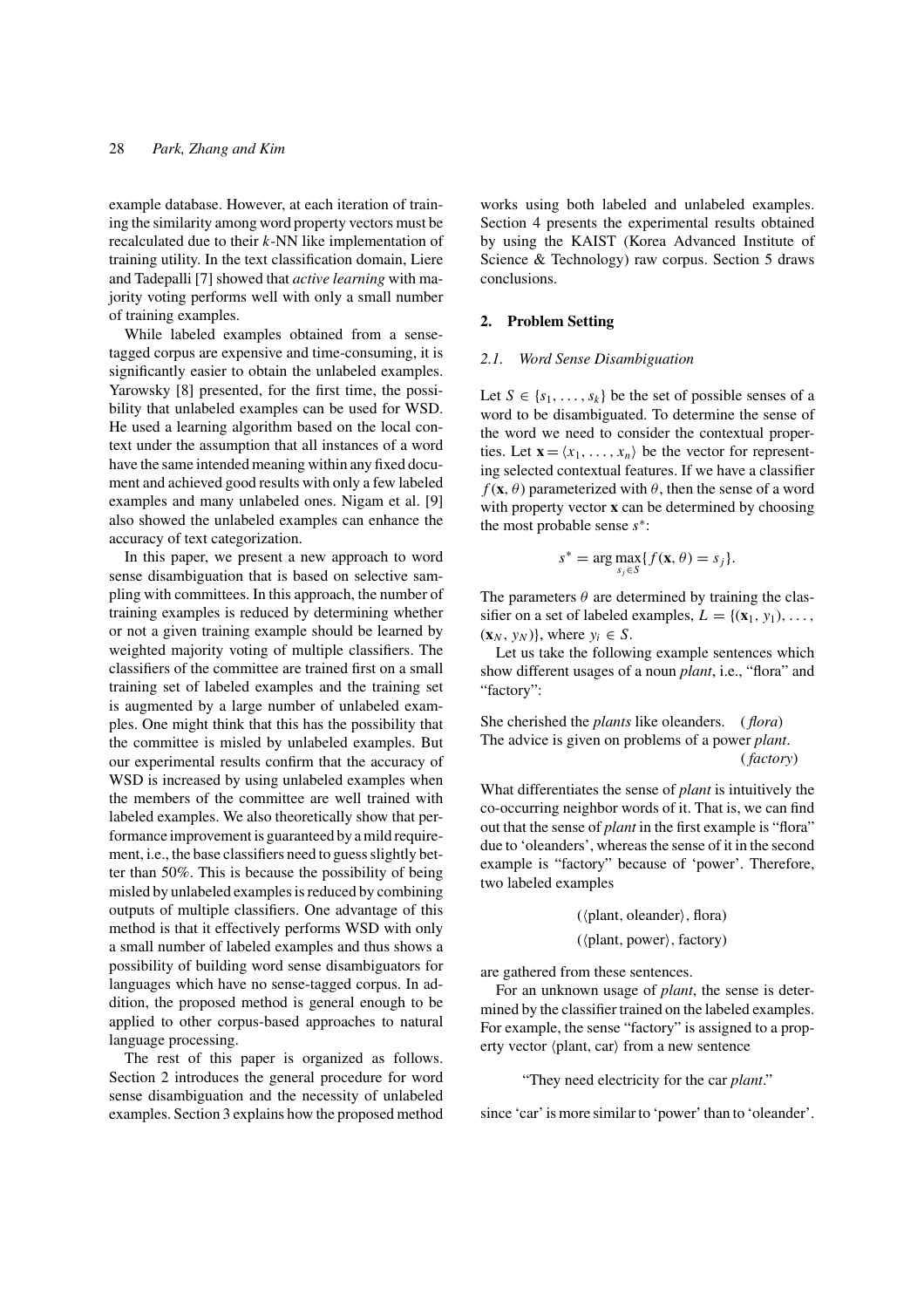example database. However, at each iteration of training the similarity among word property vectors must be recalculated due to their *k*-NN like implementation of training utility. In the text classification domain, Liere and Tadepalli [7] showed that *active learning* with majority voting performs well with only a small number of training examples.

While labeled examples obtained from a sensetagged corpus are expensive and time-consuming, it is significantly easier to obtain the unlabeled examples. Yarowsky [8] presented, for the first time, the possibility that unlabeled examples can be used for WSD. He used a learning algorithm based on the local context under the assumption that all instances of a word have the same intended meaning within any fixed document and achieved good results with only a few labeled examples and many unlabeled ones. Nigam et al. [9] also showed the unlabeled examples can enhance the accuracy of text categorization.

In this paper, we present a new approach to word sense disambiguation that is based on selective sampling with committees. In this approach, the number of training examples is reduced by determining whether or not a given training example should be learned by weighted majority voting of multiple classifiers. The classifiers of the committee are trained first on a small training set of labeled examples and the training set is augmented by a large number of unlabeled examples. One might think that this has the possibility that the committee is misled by unlabeled examples. But our experimental results confirm that the accuracy of WSD is increased by using unlabeled examples when the members of the committee are well trained with labeled examples. We also theoretically show that performance improvement is guaranteed by a mild requirement, i.e., the base classifiers need to guess slightly better than 50%. This is because the possibility of being misled by unlabeled examples is reduced by combining outputs of multiple classifiers. One advantage of this method is that it effectively performs WSD with only a small number of labeled examples and thus shows a possibility of building word sense disambiguators for languages which have no sense-tagged corpus. In addition, the proposed method is general enough to be applied to other corpus-based approaches to natural language processing.

The rest of this paper is organized as follows. Section 2 introduces the general procedure for word sense disambiguation and the necessity of unlabeled examples. Section 3 explains how the proposed method

works using both labeled and unlabeled examples. Section 4 presents the experimental results obtained by using the KAIST (Korea Advanced Institute of Science & Technology) raw corpus. Section 5 draws conclusions.

### **2. Problem Setting**

#### *2.1. Word Sense Disambiguation*

Let  $S \in \{s_1, \ldots, s_k\}$  be the set of possible senses of a word to be disambiguated. To determine the sense of the word we need to consider the contextual properties. Let  $\mathbf{x} = \langle x_1, \ldots, x_n \rangle$  be the vector for representing selected contextual features. If we have a classifier  $f(\mathbf{x}, \theta)$  parameterized with  $\theta$ , then the sense of a word with property vector **x** can be determined by choosing the most probable sense *s*<sup>∗</sup>:

$$
s^* = \arg\max_{s_j \in S} \{ f(\mathbf{x}, \theta) = s_j \}.
$$

The parameters  $\theta$  are determined by training the classifier on a set of labeled examples,  $L = \{(\mathbf{x}_1, y_1), \ldots, \}$  $(\mathbf{x}_N, y_N)$ , where  $y_i \in S$ .

Let us take the following example sentences which show different usages of a noun *plant*, i.e., "flora" and "factory":

She cherished the *plants* like oleanders. ( *flora*) The advice is given on problems of a power *plant*. ( *factory*)

What differentiates the sense of *plant* is intuitively the co-occurring neighbor words of it. That is, we can find out that the sense of *plant* in the first example is "flora" due to 'oleanders', whereas the sense of it in the second example is "factory" because of 'power'. Therefore, two labeled examples

$$
(\langle plant, oleander \rangle, flora)
$$
  

$$
(\langle plant, power \rangle, factory)
$$

are gathered from these sentences.

For an unknown usage of *plant*, the sense is determined by the classifier trained on the labeled examples. For example, the sense "factory" is assigned to a property vector  $\langle$  plant, car $\rangle$  from a new sentence

"They need electricity for the car *plant*."

since 'car' is more similar to 'power' than to 'oleander'.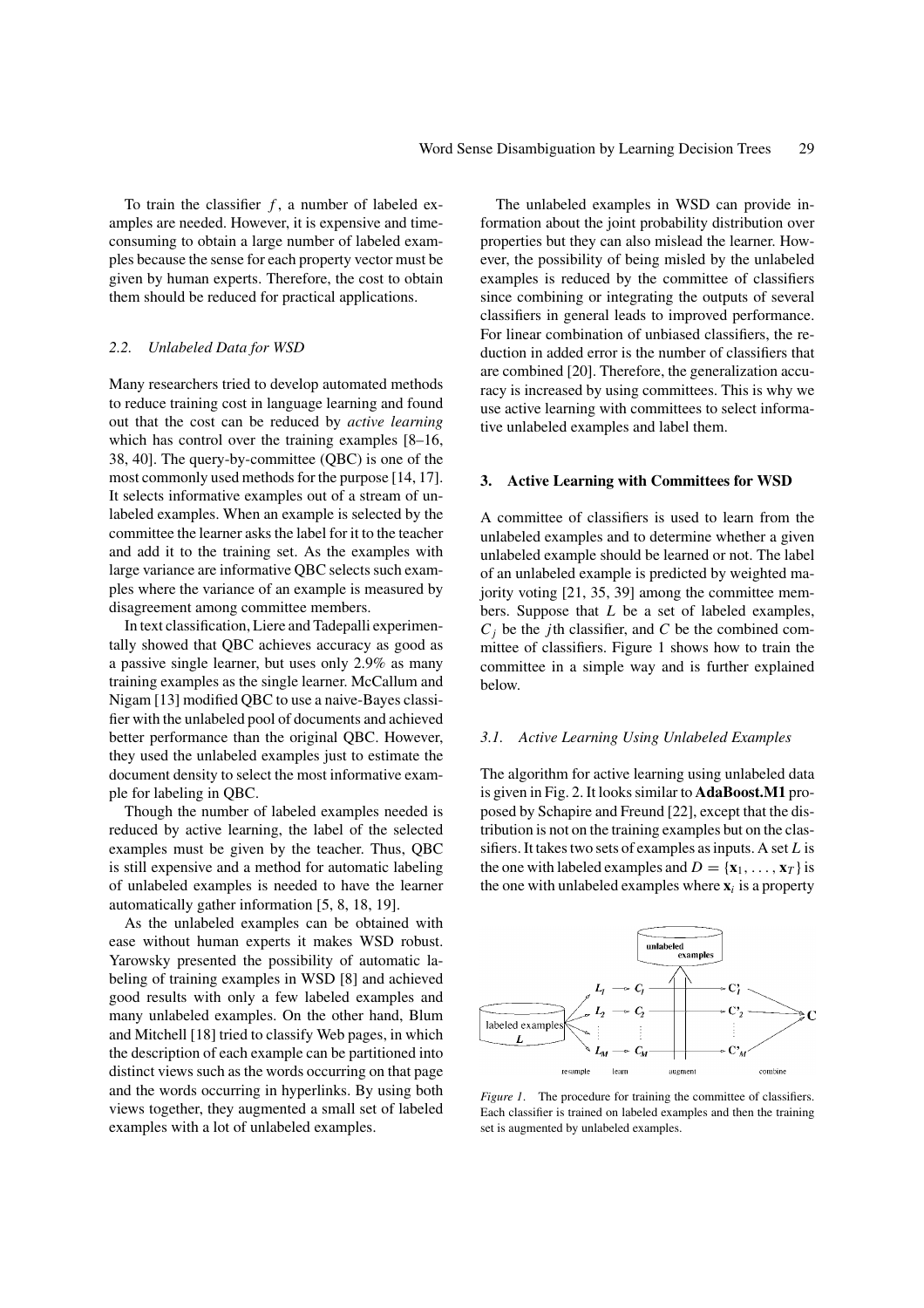To train the classifier  $f$ , a number of labeled examples are needed. However, it is expensive and timeconsuming to obtain a large number of labeled examples because the sense for each property vector must be given by human experts. Therefore, the cost to obtain them should be reduced for practical applications.

### *2.2. Unlabeled Data for WSD*

Many researchers tried to develop automated methods to reduce training cost in language learning and found out that the cost can be reduced by *active learning* which has control over the training examples  $[8-16, 16]$ 38, 40]. The query-by-committee (QBC) is one of the most commonly used methods for the purpose [14, 17]. It selects informative examples out of a stream of unlabeled examples. When an example is selected by the committee the learner asks the label for it to the teacher and add it to the training set. As the examples with large variance are informative QBC selects such examples where the variance of an example is measured by disagreement among committee members.

In text classification, Liere and Tadepalli experimentally showed that QBC achieves accuracy as good as a passive single learner, but uses only 2.9% as many training examples as the single learner. McCallum and Nigam [13] modified QBC to use a naive-Bayes classifier with the unlabeled pool of documents and achieved better performance than the original QBC. However, they used the unlabeled examples just to estimate the document density to select the most informative example for labeling in QBC.

Though the number of labeled examples needed is reduced by active learning, the label of the selected examples must be given by the teacher. Thus, QBC is still expensive and a method for automatic labeling of unlabeled examples is needed to have the learner automatically gather information [5, 8, 18, 19].

As the unlabeled examples can be obtained with ease without human experts it makes WSD robust. Yarowsky presented the possibility of automatic labeling of training examples in WSD [8] and achieved good results with only a few labeled examples and many unlabeled examples. On the other hand, Blum and Mitchell [18] tried to classify Web pages, in which the description of each example can be partitioned into distinct views such as the words occurring on that page and the words occurring in hyperlinks. By using both views together, they augmented a small set of labeled examples with a lot of unlabeled examples.

The unlabeled examples in WSD can provide information about the joint probability distribution over properties but they can also mislead the learner. However, the possibility of being misled by the unlabeled examples is reduced by the committee of classifiers since combining or integrating the outputs of several classifiers in general leads to improved performance. For linear combination of unbiased classifiers, the reduction in added error is the number of classifiers that are combined [20]. Therefore, the generalization accuracy is increased by using committees. This is why we use active learning with committees to select informative unlabeled examples and label them.

#### **3. Active Learning with Committees for WSD**

A committee of classifiers is used to learn from the unlabeled examples and to determine whether a given unlabeled example should be learned or not. The label of an unlabeled example is predicted by weighted majority voting [21, 35, 39] among the committee members. Suppose that *L* be a set of labeled examples,  $C_i$  be the *j*th classifier, and *C* be the combined committee of classifiers. Figure 1 shows how to train the committee in a simple way and is further explained below.

### *3.1. Active Learning Using Unlabeled Examples*

The algorithm for active learning using unlabeled data is given in Fig. 2. It looks similar to **AdaBoost.M1** proposed by Schapire and Freund [22], except that the distribution is not on the training examples but on the classifiers. It takes two sets of examples as inputs. A set *L* is the one with labeled examples and  $D = \{x_1, \ldots, x_T\}$  is the one with unlabeled examples where  $\mathbf{x}_i$  is a property



*Figure 1.* The procedure for training the committee of classifiers. Each classifier is trained on labeled examples and then the training set is augmented by unlabeled examples.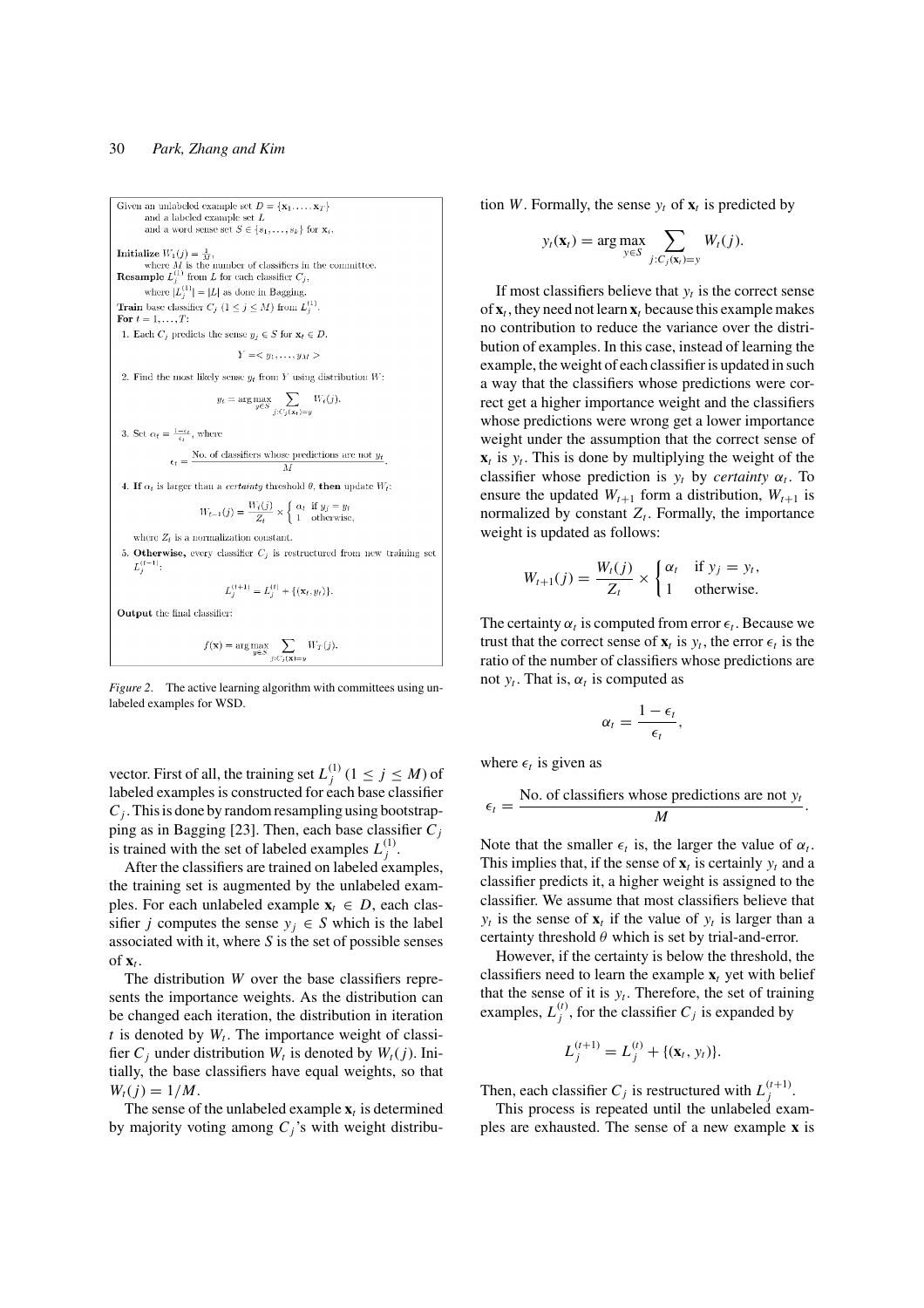Given an unlabeled example set  $D = {\mathbf{x}_1, \dots, \mathbf{x}_T}$ and a labeled example set  $L$ and a word sense set  $S \in \{s_1, \ldots, s_k\}$  for  $\mathbf{x}_i$ , Initialize  $W_1(j) = \frac{1}{M}$ ,<br>where  $M$  is the number of classifiers in the committee.<br>Resample  $L_j^{(1)}$  from  $L$  for each classifier  $C_j$ , where  $|L_j^{(1)}| = |L|$  as done in Bagging. **Train** base classifier  $C_j$   $(1 \leq j \leq M)$  from  $L_j^{(1)}$ . For  $t = 1, \ldots, T$ : 1. Each  $C_j$  predicts the sense  $y_j \in S$  for  $\mathbf{x}_t \in D$ .  $Y = \langle u_1, \ldots, u_M \rangle$ 2. Find the most likely sense  $y_t$  from Y using distribution  $W$ :  $y_t = \arg \max_{y \in S} \sum_{j:C_i(\mathbf{x}_t) = y} W_t(j).$ 3. Set  $\alpha_t = \frac{1-\epsilon_t}{\epsilon_t}$ , where  $\epsilon_t = \frac{\text{No. of classifiers whose predictions are not } y_t}{M}$ 4. If  $\alpha_t$  is larger than a *certainty* threshold  $\theta$ , then update  $W_t$ :  $W_{t-1}(j) = \frac{W_t(j)}{Z_t} \times \begin{cases} \alpha_t & \text{if } y_j = y_t \\ 1 & \text{otherwise,} \end{cases}$ where  $Z_t$  is a normalization constant. 5. Otherwise, every classifier  $C_j$  is restructured from new training set  $L^{(t-1)}$  $L_i^{(t+1)} = L_i^{(t)} + \{(\mathbf{x}_t, y_t)\}.$ Output the final classifier:  $f(\mathbf{x}) = \arg \max_{y \in S} \sum_{j:C_j(\mathbf{x}) = y} W_T(j).$ 

*Figure 2.* The active learning algorithm with committees using unlabeled examples for WSD.

vector. First of all, the training set  $L_j^{(1)}$  ( $1 \le j \le M$ ) of labeled examples is constructed for each base classifier  $C_i$ . This is done by random resampling using bootstrapping as in Bagging [23]. Then, each base classifier *Cj* is trained with the set of labeled examples  $L_j^{(1)}$ .

After the classifiers are trained on labeled examples, the training set is augmented by the unlabeled examples. For each unlabeled example  $\mathbf{x}_t \in D$ , each classifier *j* computes the sense  $y_i \in S$  which is the label associated with it, where *S* is the set of possible senses of  $\mathbf{x}_t$ .

The distribution *W* over the base classifiers represents the importance weights. As the distribution can be changed each iteration, the distribution in iteration  $t$  is denoted by  $W_t$ . The importance weight of classifier  $C_i$  under distribution  $W_t$  is denoted by  $W_t(j)$ . Initially, the base classifiers have equal weights, so that  $W_t(i) = 1/M$ .

The sense of the unlabeled example  $\mathbf{x}_t$  is determined by majority voting among  $C_i$ 's with weight distribution *W*. Formally, the sense  $y_t$  of  $\mathbf{x}_t$  is predicted by

$$
y_t(\mathbf{x}_t) = \arg \max_{y \in S} \sum_{j:C_j(\mathbf{x}_t) = y} W_t(j).
$$

If most classifiers believe that  $y_t$  is the correct sense of  $\mathbf{x}_t$ , they need not learn  $\mathbf{x}_t$  because this example makes no contribution to reduce the variance over the distribution of examples. In this case, instead of learning the example, the weight of each classifier is updated in such a way that the classifiers whose predictions were correct get a higher importance weight and the classifiers whose predictions were wrong get a lower importance weight under the assumption that the correct sense of  $\mathbf{x}_t$  is  $y_t$ . This is done by multiplying the weight of the classifier whose prediction is  $y_t$  by *certainty*  $\alpha_t$ . To ensure the updated  $W_{t+1}$  form a distribution,  $W_{t+1}$  is normalized by constant  $Z_t$ . Formally, the importance weight is updated as follows:

$$
W_{t+1}(j) = \frac{W_t(j)}{Z_t} \times \begin{cases} \alpha_t & \text{if } y_j = y_t, \\ 1 & \text{otherwise.} \end{cases}
$$

The certainty  $\alpha_t$  is computed from error  $\epsilon_t$ . Because we trust that the correct sense of  $\mathbf{x}_t$  is  $y_t$ , the error  $\epsilon_t$  is the ratio of the number of classifiers whose predictions are not  $y_t$ . That is,  $\alpha_t$  is computed as

$$
\alpha_t = \frac{1-\epsilon_t}{\epsilon_t},
$$

where  $\epsilon_t$  is given as

$$
\epsilon_t = \frac{\text{No. of classifiers whose predictions are not } y_t}{M}.
$$

Note that the smaller  $\epsilon_t$  is, the larger the value of  $\alpha_t$ . This implies that, if the sense of **x***<sup>t</sup>* is certainly *yt* and a classifier predicts it, a higher weight is assigned to the classifier. We assume that most classifiers believe that  $y_t$  is the sense of  $\mathbf{x}_t$  if the value of  $y_t$  is larger than a certainty threshold  $\theta$  which is set by trial-and-error.

However, if the certainty is below the threshold, the classifiers need to learn the example  $\mathbf{x}_t$  yet with belief that the sense of it is  $y_t$ . Therefore, the set of training examples,  $L_j^{(t)}$ , for the classifier  $C_j$  is expanded by

$$
L_j^{(t+1)} = L_j^{(t)} + \{(\mathbf{x}_t, y_t)\}.
$$

Then, each classifier  $C_j$  is restructured with  $L_j^{(t+1)}$ .

This process is repeated until the unlabeled examples are exhausted. The sense of a new example **x** is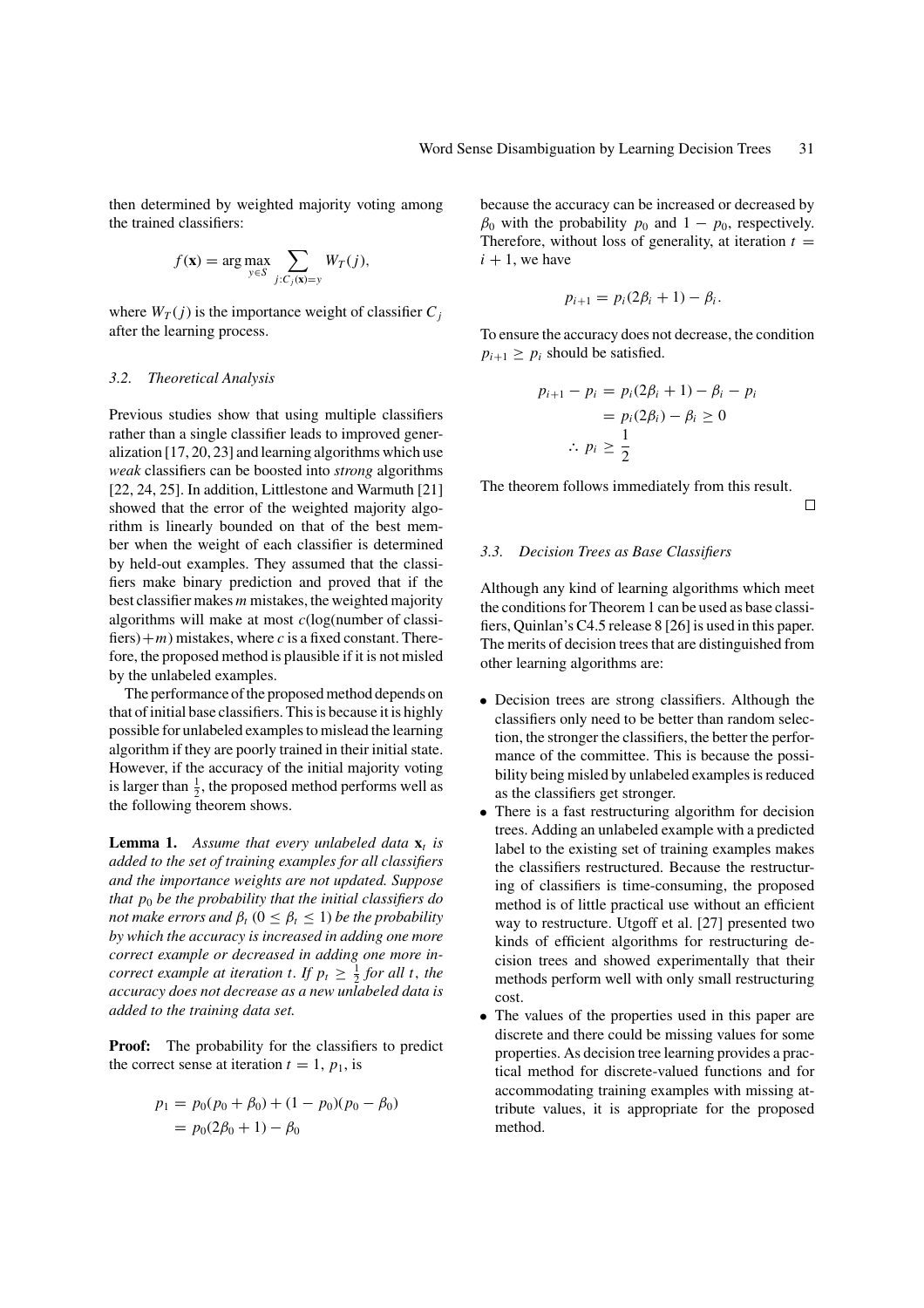then determined by weighted majority voting among the trained classifiers:

$$
f(\mathbf{x}) = \arg \max_{y \in S} \sum_{j:C_j(\mathbf{x}) = y} W_T(j),
$$

where  $W_T(j)$  is the importance weight of classifier  $C_j$ after the learning process.

#### *3.2. Theoretical Analysis*

Previous studies show that using multiple classifiers rather than a single classifier leads to improved generalization [17, 20, 23] and learning algorithms which use *weak* classifiers can be boosted into *strong* algorithms [22, 24, 25]. In addition, Littlestone and Warmuth [21] showed that the error of the weighted majority algorithm is linearly bounded on that of the best member when the weight of each classifier is determined by held-out examples. They assumed that the classifiers make binary prediction and proved that if the best classifier makes *m* mistakes, the weighted majority algorithms will make at most *c*(log(number of classifiers) +  $m$ ) mistakes, where  $c$  is a fixed constant. Therefore, the proposed method is plausible if it is not misled by the unlabeled examples.

The performance of the proposed method depends on that of initial base classifiers. This is because it is highly possible for unlabeled examples to mislead the learning algorithm if they are poorly trained in their initial state. However, if the accuracy of the initial majority voting is larger than  $\frac{1}{2}$ , the proposed method performs well as the following theorem shows.

**Lemma 1.** Assume that every unlabeled data  $\mathbf{x}_t$  is *added to the set of training examples for all classifiers and the importance weights are not updated. Suppose that*  $p_0$  *be the probability that the initial classifiers do not make errors and*  $\beta_t$  ( $0 \leq \beta_t \leq 1$ ) *be the probability by which the accuracy is increased in adding one more correct example or decreased in adding one more incorrect example at iteration t. If*  $p_t \geq \frac{1}{2}$  *for all t, the accuracy does not decrease as a new unlabeled data is added to the training data set.*

**Proof:** The probability for the classifiers to predict the correct sense at iteration  $t = 1$ ,  $p_1$ , is

$$
p_1 = p_0(p_0 + \beta_0) + (1 - p_0)(p_0 - \beta_0)
$$
  
=  $p_0(2\beta_0 + 1) - \beta_0$ 

because the accuracy can be increased or decreased by  $\beta_0$  with the probability  $p_0$  and  $1 - p_0$ , respectively. Therefore, without loss of generality, at iteration  $t =$  $i + 1$ , we have

$$
p_{i+1}=p_i(2\beta_i+1)-\beta_i.
$$

To ensure the accuracy does not decrease, the condition  $p_{i+1} \geq p_i$  should be satisfied.

$$
p_{i+1} - p_i = p_i(2\beta_i + 1) - \beta_i - p_i
$$
  
=  $p_i(2\beta_i) - \beta_i \ge 0$   
 $\therefore p_i \ge \frac{1}{2}$ 

The theorem follows immediately from this result.

 $\Box$ 

### *3.3. Decision Trees as Base Classifiers*

Although any kind of learning algorithms which meet the conditions for Theorem 1 can be used as base classifiers, Quinlan's C4.5 release 8 [26] is used in this paper. The merits of decision trees that are distinguished from other learning algorithms are:

- Decision trees are strong classifiers. Although the classifiers only need to be better than random selection, the stronger the classifiers, the better the performance of the committee. This is because the possibility being misled by unlabeled examples is reduced as the classifiers get stronger.
- There is a fast restructuring algorithm for decision trees. Adding an unlabeled example with a predicted label to the existing set of training examples makes the classifiers restructured. Because the restructuring of classifiers is time-consuming, the proposed method is of little practical use without an efficient way to restructure. Utgoff et al. [27] presented two kinds of efficient algorithms for restructuring decision trees and showed experimentally that their methods perform well with only small restructuring cost.
- The values of the properties used in this paper are discrete and there could be missing values for some properties. As decision tree learning provides a practical method for discrete-valued functions and for accommodating training examples with missing attribute values, it is appropriate for the proposed method.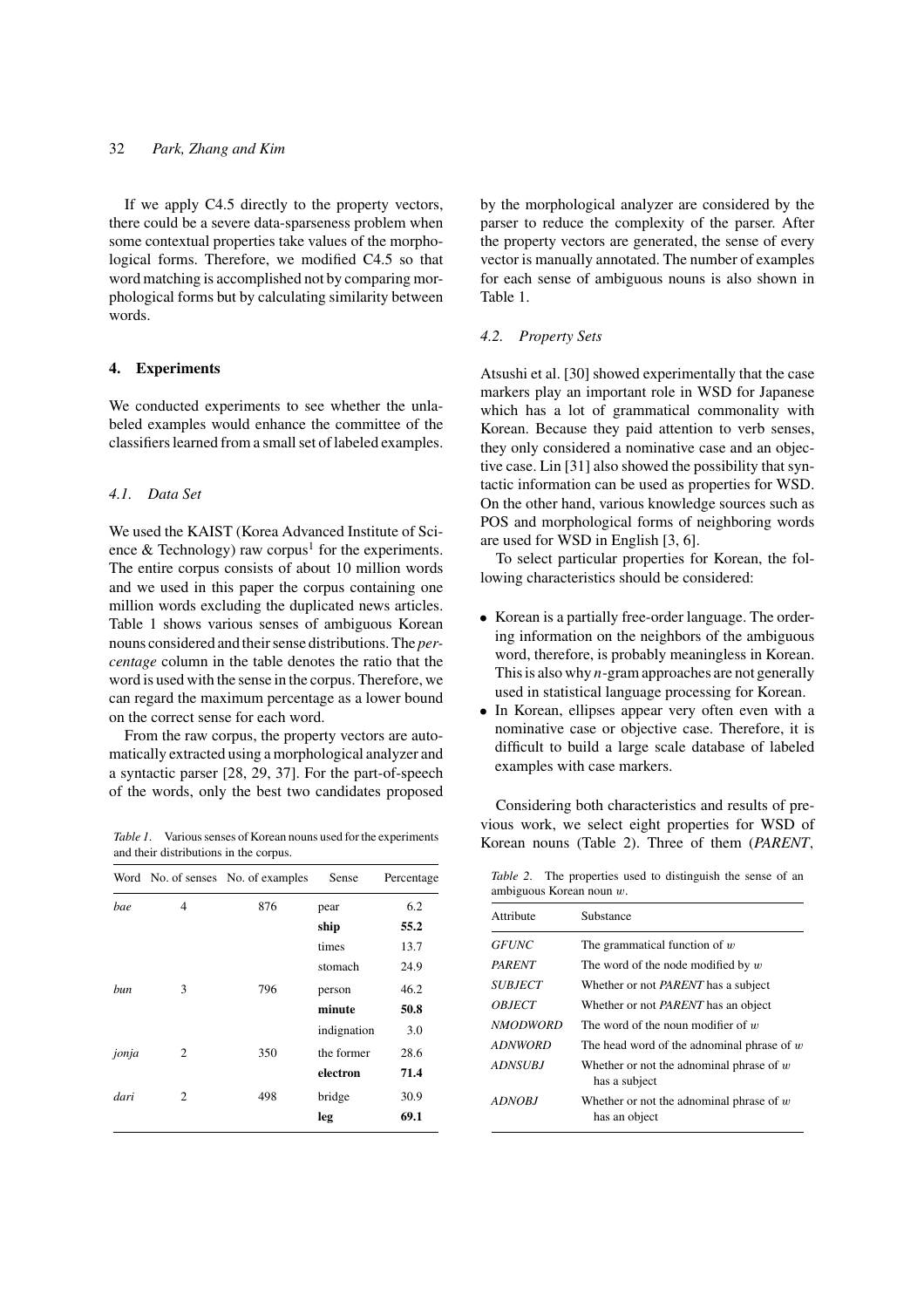If we apply C4.5 directly to the property vectors, there could be a severe data-sparseness problem when some contextual properties take values of the morphological forms. Therefore, we modified C4.5 so that word matching is accomplished not by comparing morphological forms but by calculating similarity between words.

### **4. Experiments**

We conducted experiments to see whether the unlabeled examples would enhance the committee of the classifiers learned from a small set of labeled examples.

### *4.1. Data Set*

We used the KAIST (Korea Advanced Institute of Science  $&$  Technology) raw corpus<sup>1</sup> for the experiments. The entire corpus consists of about 10 million words and we used in this paper the corpus containing one million words excluding the duplicated news articles. Table 1 shows various senses of ambiguous Korean nouns considered and their sense distributions. The *percentage* column in the table denotes the ratio that the word is used with the sense in the corpus. Therefore, we can regard the maximum percentage as a lower bound on the correct sense for each word.

From the raw corpus, the property vectors are automatically extracted using a morphological analyzer and a syntactic parser [28, 29, 37]. For the part-of-speech of the words, only the best two candidates proposed

*Table 1*. Various senses of Korean nouns used for the experiments and their distributions in the corpus.

|            |                | Word No. of senses No. of examples | Sense       | Percentage |
|------------|----------------|------------------------------------|-------------|------------|
| bae        | 4              | 876                                | pear        | 6.2        |
|            |                |                                    | ship        | 55.2       |
|            |                |                                    | times       | 13.7       |
|            |                |                                    | stomach     | 24.9       |
| <i>bun</i> | 3              | 796                                | person      | 46.2       |
|            |                |                                    | minute      | 50.8       |
|            |                |                                    | indignation | 3.0        |
| jonja      | 2              | 350                                | the former  | 28.6       |
|            |                |                                    | electron    | 71.4       |
| dari       | $\overline{c}$ | 498                                | bridge      | 30.9       |
|            |                |                                    | leg         | 69.1       |

by the morphological analyzer are considered by the parser to reduce the complexity of the parser. After the property vectors are generated, the sense of every vector is manually annotated. The number of examples for each sense of ambiguous nouns is also shown in Table 1.

### *4.2. Property Sets*

Atsushi et al. [30] showed experimentally that the case markers play an important role in WSD for Japanese which has a lot of grammatical commonality with Korean. Because they paid attention to verb senses, they only considered a nominative case and an objective case. Lin [31] also showed the possibility that syntactic information can be used as properties for WSD. On the other hand, various knowledge sources such as POS and morphological forms of neighboring words are used for WSD in English [3, 6].

To select particular properties for Korean, the following characteristics should be considered:

- Korean is a partially free-order language. The ordering information on the neighbors of the ambiguous word, therefore, is probably meaningless in Korean. This is also why *n*-gram approaches are not generally used in statistical language processing for Korean.
- In Korean, ellipses appear very often even with a nominative case or objective case. Therefore, it is difficult to build a large scale database of labeled examples with case markers.

Considering both characteristics and results of previous work, we select eight properties for WSD of Korean nouns (Table 2). Three of them (*PARENT*,

*Table 2*. The properties used to distinguish the sense of an ambiguous Korean noun w.

| Attribute            | Substance                                                   |
|----------------------|-------------------------------------------------------------|
| <b>GFUNC</b>         | The grammatical function of $w$                             |
| <b>PARENT</b>        | The word of the node modified by $w$                        |
| <b>SUBJECT</b>       | Whether or not <i>PARENT</i> has a subject                  |
| <i><b>OBJECT</b></i> | Whether or not <i>PARENT</i> has an object                  |
| <b>NMODWORD</b>      | The word of the noun modifier of $w$                        |
| <b>ADNWORD</b>       | The head word of the adnominal phrase of $w$                |
| <b>ADNSUBJ</b>       | Whether or not the adnominal phrase of $w$<br>has a subject |
| <i>ADNOBJ</i>        | Whether or not the adnominal phrase of $w$<br>has an object |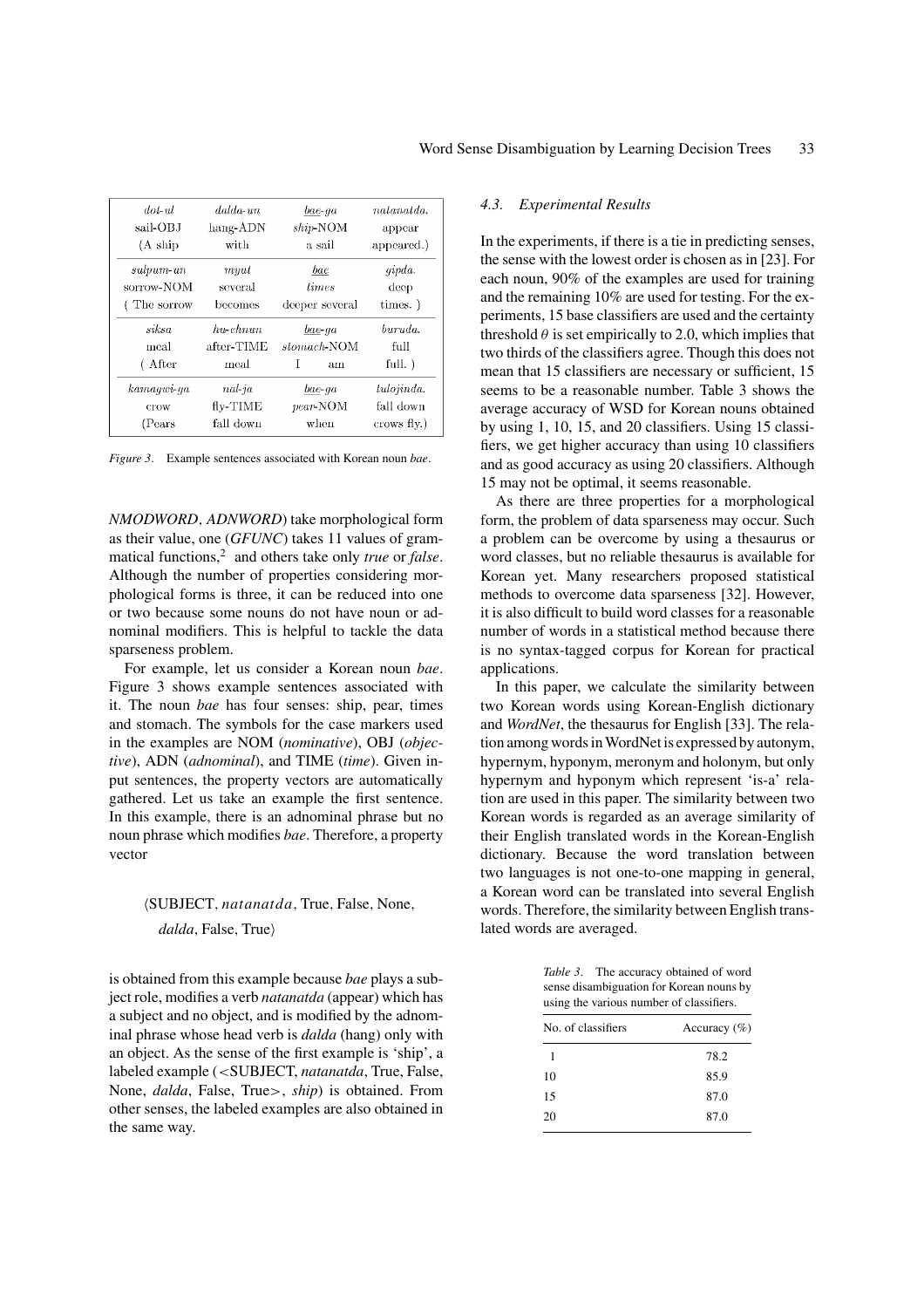| $dot-ul$            | dalda-un           | $bae$ -ga              | natanatda.     |
|---------------------|--------------------|------------------------|----------------|
| sail-OBJ            | hang-ADN           | $ship-NOM$             | appear         |
| $(A \text{ ship})$  | with               | a sail                 | appeared.)     |
| $subsum-an$         | myut               | bae                    | gipda.         |
| sorrow-NOM          | several            | <i>limes</i>           | deep           |
| (The sorrow         | becomes            | deeper several         | times.)        |
| siksa               | $hu$ -chnun        | bae-ga                 | buruda.        |
| meal<br>(After      | after-TIME<br>meal | stomach-NOM<br>T<br>am | full<br>full.) |
| $kamaqwi\hbox{-}ga$ | $nal-ja$           | $bae$ -ga              | tulojinda.     |
| <b>CFOW</b>         | $fly-TIME$         | pear-NOM               | fall down      |
| (Pears)             | fall down          | when                   | crows fly.)    |

*Figure 3*. Example sentences associated with Korean noun *bae*.

*NMODWORD*, *ADNWORD*) take morphological form as their value, one (*GFUNC*) takes 11 values of grammatical functions,<sup>2</sup> and others take only *true* or *false*. Although the number of properties considering morphological forms is three, it can be reduced into one or two because some nouns do not have noun or adnominal modifiers. This is helpful to tackle the data sparseness problem.

For example, let us consider a Korean noun *bae*. Figure 3 shows example sentences associated with it. The noun *bae* has four senses: ship, pear, times and stomach. The symbols for the case markers used in the examples are NOM (*nominative*), OBJ (*objective*), ADN (*adnominal*), and TIME (*time*). Given input sentences, the property vectors are automatically gathered. Let us take an example the first sentence. In this example, there is an adnominal phrase but no noun phrase which modifies *bae*. Therefore, a property vector

## SUBJECT, *natanatda*, True, False, None, *dalda*, False, True

is obtained from this example because *bae* plays a subject role, modifies a verb *natanatda* (appear) which has a subject and no object, and is modified by the adnominal phrase whose head verb is *dalda* (hang) only with an object. As the sense of the first example is 'ship', a labeled example (<SUBJECT, *natanatda*, True, False, None, *dalda*, False, True>, *ship*) is obtained. From other senses, the labeled examples are also obtained in the same way.

### *4.3. Experimental Results*

In the experiments, if there is a tie in predicting senses, the sense with the lowest order is chosen as in [23]. For each noun, 90% of the examples are used for training and the remaining 10% are used for testing. For the experiments, 15 base classifiers are used and the certainty threshold  $\theta$  is set empirically to 2.0, which implies that two thirds of the classifiers agree. Though this does not mean that 15 classifiers are necessary or sufficient, 15 seems to be a reasonable number. Table 3 shows the average accuracy of WSD for Korean nouns obtained by using 1, 10, 15, and 20 classifiers. Using 15 classifiers, we get higher accuracy than using 10 classifiers and as good accuracy as using 20 classifiers. Although 15 may not be optimal, it seems reasonable.

As there are three properties for a morphological form, the problem of data sparseness may occur. Such a problem can be overcome by using a thesaurus or word classes, but no reliable thesaurus is available for Korean yet. Many researchers proposed statistical methods to overcome data sparseness [32]. However, it is also difficult to build word classes for a reasonable number of words in a statistical method because there is no syntax-tagged corpus for Korean for practical applications.

In this paper, we calculate the similarity between two Korean words using Korean-English dictionary and *WordNet*, the thesaurus for English [33]. The relation among words in WordNet is expressed by autonym, hypernym, hyponym, meronym and holonym, but only hypernym and hyponym which represent 'is-a' relation are used in this paper. The similarity between two Korean words is regarded as an average similarity of their English translated words in the Korean-English dictionary. Because the word translation between two languages is not one-to-one mapping in general, a Korean word can be translated into several English words. Therefore, the similarity between English translated words are averaged.

*Table 3*. The accuracy obtained of word sense disambiguation for Korean nouns by using the various number of classifiers.

| No. of classifiers | Accuracy $(\% )$ |  |
|--------------------|------------------|--|
| 1                  | 78.2             |  |
| 10                 | 85.9             |  |
| 15                 | 87.0             |  |
| 20                 | 87.0             |  |
|                    |                  |  |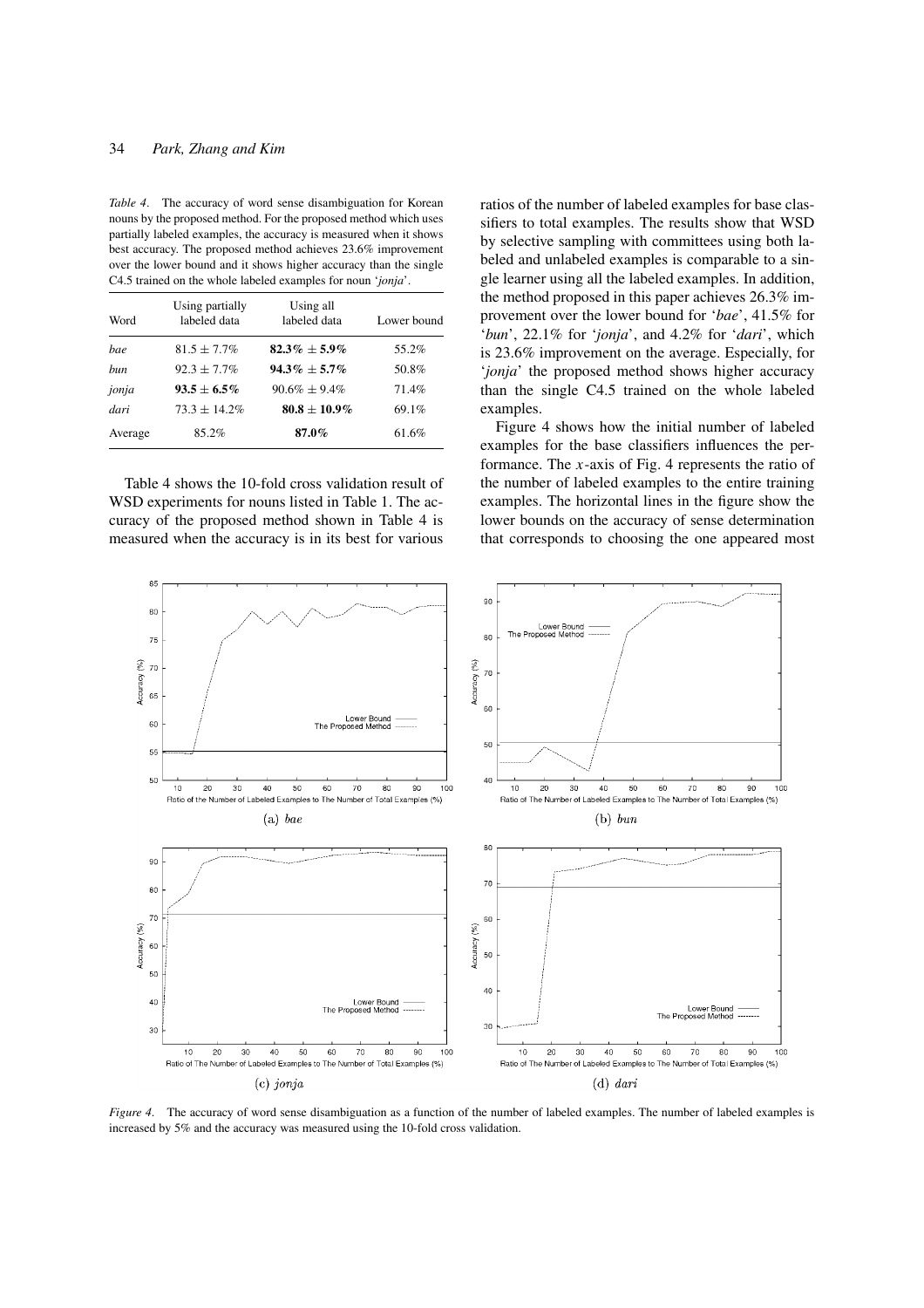### 34 *Park, Zhang and Kim*

*Table 4*. The accuracy of word sense disambiguation for Korean nouns by the proposed method. For the proposed method which uses partially labeled examples, the accuracy is measured when it shows best accuracy. The proposed method achieves 23.6% improvement over the lower bound and it shows higher accuracy than the single C4.5 trained on the whole labeled examples for noun '*jonja*'.

| Word       | Using partially<br>labeled data | Using all<br>labeled data | Lower bound |
|------------|---------------------------------|---------------------------|-------------|
| bae        | $81.5 + 7.7\%$                  | $82.3\% + 5.9\%$          | 55.2%       |
| <i>bun</i> | $92.3 \pm 7.7\%$                | $94.3\% + 5.7\%$          | 50.8%       |
| jonja      | $93.5 + 6.5\%$                  | $90.6\% \pm 9.4\%$        | 71.4%       |
| dari       | $73.3 + 14.2\%$                 | $80.8 + 10.9\%$           | 69.1%       |
| Average    | 85.2%                           | 87.0%                     | 61.6%       |

Table 4 shows the 10-fold cross validation result of WSD experiments for nouns listed in Table 1. The accuracy of the proposed method shown in Table 4 is measured when the accuracy is in its best for various

ratios of the number of labeled examples for base classifiers to total examples. The results show that WSD by selective sampling with committees using both labeled and unlabeled examples is comparable to a single learner using all the labeled examples. In addition, the method proposed in this paper achieves 26.3% improvement over the lower bound for '*bae*', 41.5% for '*bun*', 22.1% for '*jonja*', and 4.2% for '*dari*', which is 23.6% improvement on the average. Especially, for '*jonja*' the proposed method shows higher accuracy than the single C4.5 trained on the whole labeled examples.

Figure 4 shows how the initial number of labeled examples for the base classifiers influences the performance. The *x*-axis of Fig. 4 represents the ratio of the number of labeled examples to the entire training examples. The horizontal lines in the figure show the lower bounds on the accuracy of sense determination that corresponds to choosing the one appeared most



*Figure 4*. The accuracy of word sense disambiguation as a function of the number of labeled examples. The number of labeled examples is increased by 5% and the accuracy was measured using the 10-fold cross validation.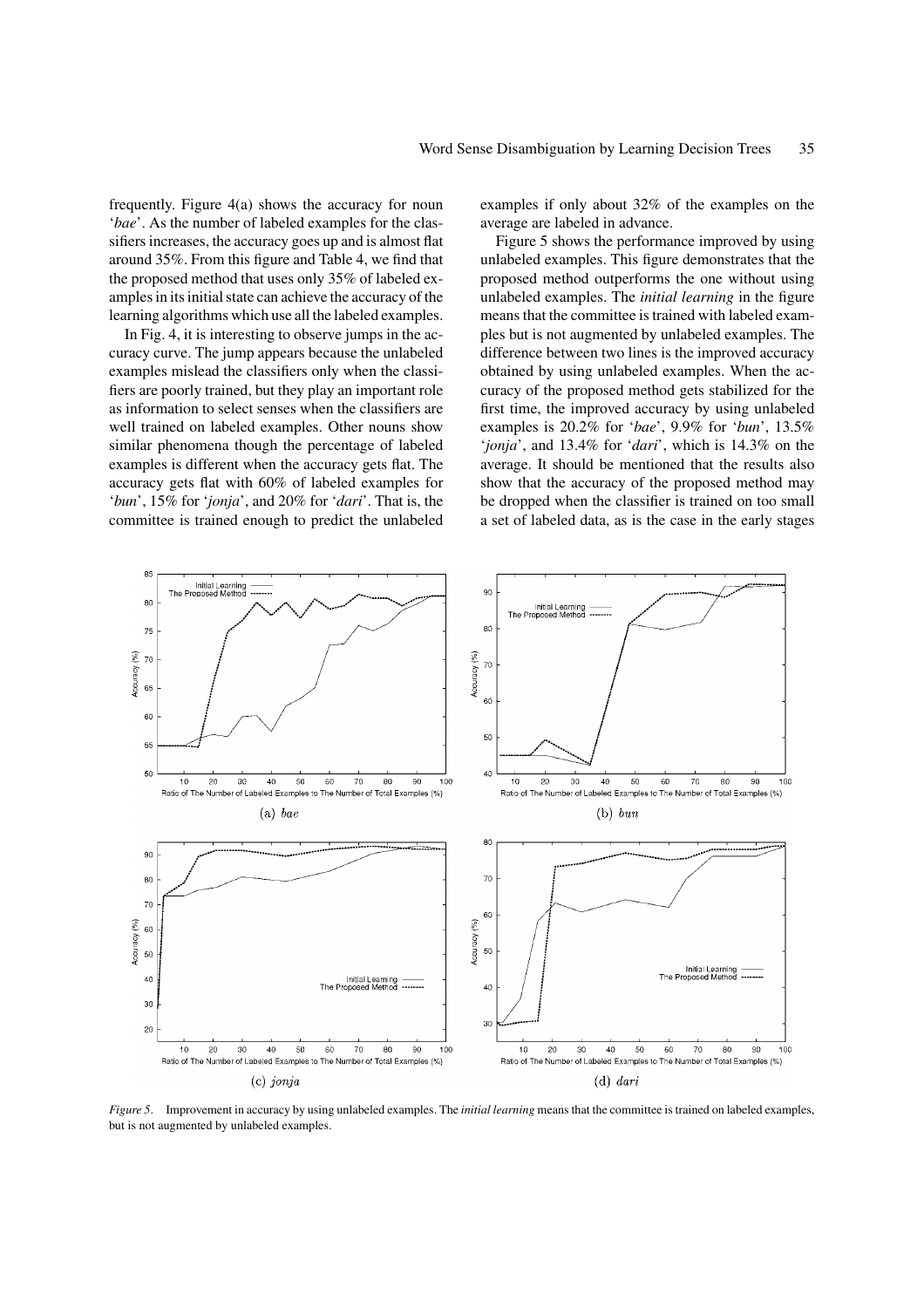frequently. Figure 4(a) shows the accuracy for noun '*bae*'. As the number of labeled examples for the classifiers increases, the accuracy goes up and is almost flat around 35%. From this figure and Table 4, we find that the proposed method that uses only 35% of labeled examples in its initial state can achieve the accuracy of the learning algorithms which use all the labeled examples.

In Fig. 4, it is interesting to observe jumps in the accuracy curve. The jump appears because the unlabeled examples mislead the classifiers only when the classifiers are poorly trained, but they play an important role as information to select senses when the classifiers are well trained on labeled examples. Other nouns show similar phenomena though the percentage of labeled examples is different when the accuracy gets flat. The accuracy gets flat with 60% of labeled examples for '*bun*', 15% for '*jonja*', and 20% for '*dari*'. That is, the committee is trained enough to predict the unlabeled

examples if only about 32% of the examples on the average are labeled in advance.

Figure 5 shows the performance improved by using unlabeled examples. This figure demonstrates that the proposed method outperforms the one without using unlabeled examples. The *initial learning* in the figure means that the committee is trained with labeled examples but is not augmented by unlabeled examples. The difference between two lines is the improved accuracy obtained by using unlabeled examples. When the accuracy of the proposed method gets stabilized for the first time, the improved accuracy by using unlabeled examples is 20.2% for '*bae*', 9.9% for '*bun*', 13.5% '*jonja*', and 13.4% for '*dari*', which is 14.3% on the average. It should be mentioned that the results also show that the accuracy of the proposed method may be dropped when the classifier is trained on too small a set of labeled data, as is the case in the early stages



*Figure 5*. Improvement in accuracy by using unlabeled examples. The *initial learning* means that the committee is trained on labeled examples, but is not augmented by unlabeled examples.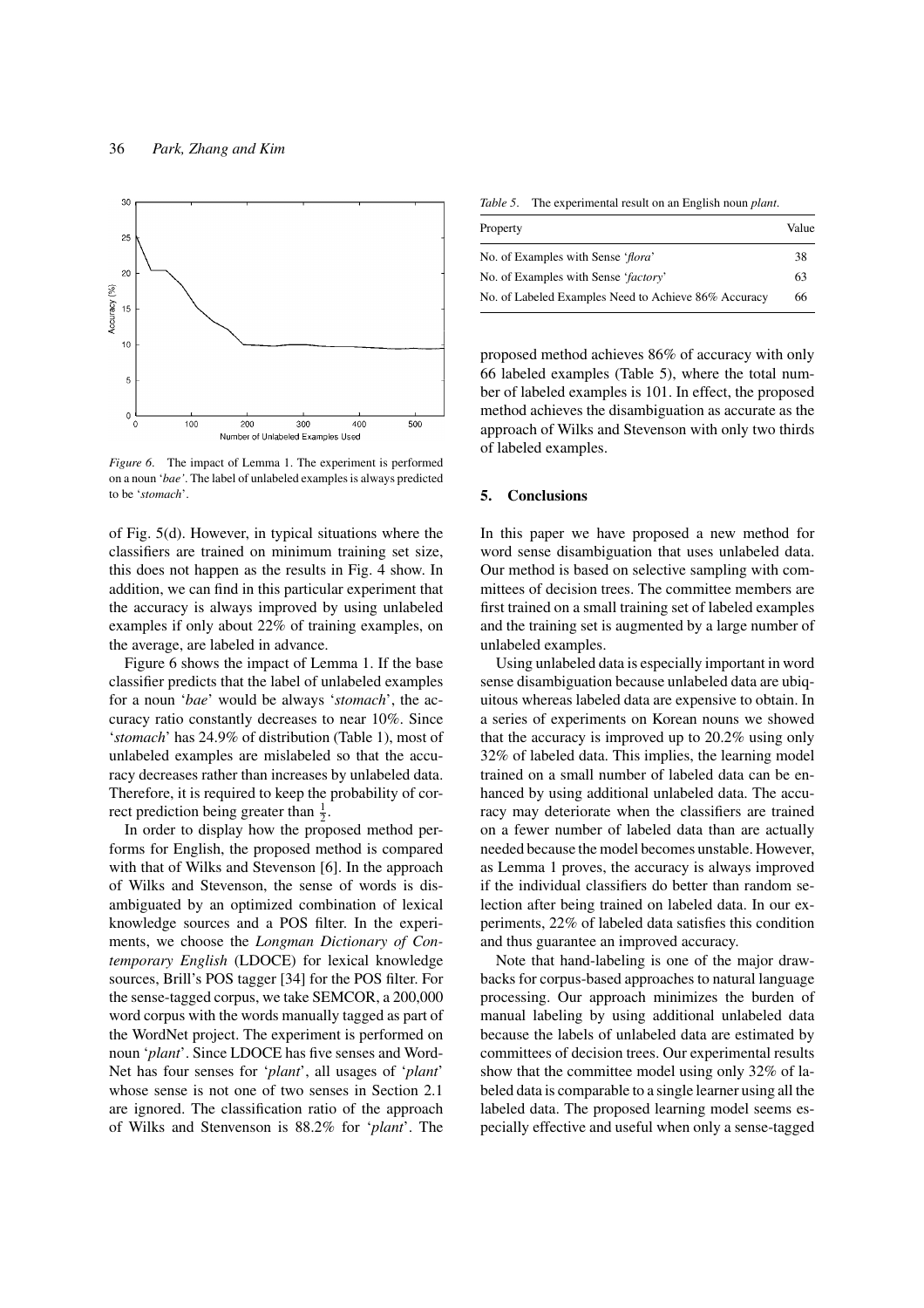

*Figure 6*. The impact of Lemma 1. The experiment is performed on a noun '*bae'*. The label of unlabeled examples is always predicted to be '*stomach*'.

of Fig. 5(d). However, in typical situations where the classifiers are trained on minimum training set size, this does not happen as the results in Fig. 4 show. In addition, we can find in this particular experiment that the accuracy is always improved by using unlabeled examples if only about 22% of training examples, on the average, are labeled in advance.

Figure 6 shows the impact of Lemma 1. If the base classifier predicts that the label of unlabeled examples for a noun '*bae*' would be always '*stomach*', the accuracy ratio constantly decreases to near 10%. Since '*stomach*' has 24.9% of distribution (Table 1), most of unlabeled examples are mislabeled so that the accuracy decreases rather than increases by unlabeled data. Therefore, it is required to keep the probability of correct prediction being greater than  $\frac{1}{2}$ .

In order to display how the proposed method performs for English, the proposed method is compared with that of Wilks and Stevenson [6]. In the approach of Wilks and Stevenson, the sense of words is disambiguated by an optimized combination of lexical knowledge sources and a POS filter. In the experiments, we choose the *Longman Dictionary of Contemporary English* (LDOCE) for lexical knowledge sources, Brill's POS tagger [34] for the POS filter. For the sense-tagged corpus, we take SEMCOR, a 200,000 word corpus with the words manually tagged as part of the WordNet project. The experiment is performed on noun '*plant*'. Since LDOCE has five senses and Word-Net has four senses for '*plant*', all usages of '*plant*' whose sense is not one of two senses in Section 2.1 are ignored. The classification ratio of the approach of Wilks and Stenvenson is 88.2% for '*plant*'. The

*Table 5*. The experimental result on an English noun *plant*.

| Property                                             | Value |
|------------------------------------------------------|-------|
| No. of Examples with Sense 'flora'                   | 38    |
| No. of Examples with Sense 'factory'                 | 63    |
| No. of Labeled Examples Need to Achieve 86% Accuracy | 66    |

proposed method achieves 86% of accuracy with only 66 labeled examples (Table 5), where the total number of labeled examples is 101. In effect, the proposed method achieves the disambiguation as accurate as the approach of Wilks and Stevenson with only two thirds of labeled examples.

#### **5. Conclusions**

In this paper we have proposed a new method for word sense disambiguation that uses unlabeled data. Our method is based on selective sampling with committees of decision trees. The committee members are first trained on a small training set of labeled examples and the training set is augmented by a large number of unlabeled examples.

Using unlabeled data is especially important in word sense disambiguation because unlabeled data are ubiquitous whereas labeled data are expensive to obtain. In a series of experiments on Korean nouns we showed that the accuracy is improved up to 20.2% using only 32% of labeled data. This implies, the learning model trained on a small number of labeled data can be enhanced by using additional unlabeled data. The accuracy may deteriorate when the classifiers are trained on a fewer number of labeled data than are actually needed because the model becomes unstable. However, as Lemma 1 proves, the accuracy is always improved if the individual classifiers do better than random selection after being trained on labeled data. In our experiments, 22% of labeled data satisfies this condition and thus guarantee an improved accuracy.

Note that hand-labeling is one of the major drawbacks for corpus-based approaches to natural language processing. Our approach minimizes the burden of manual labeling by using additional unlabeled data because the labels of unlabeled data are estimated by committees of decision trees. Our experimental results show that the committee model using only 32% of labeled data is comparable to a single learner using all the labeled data. The proposed learning model seems especially effective and useful when only a sense-tagged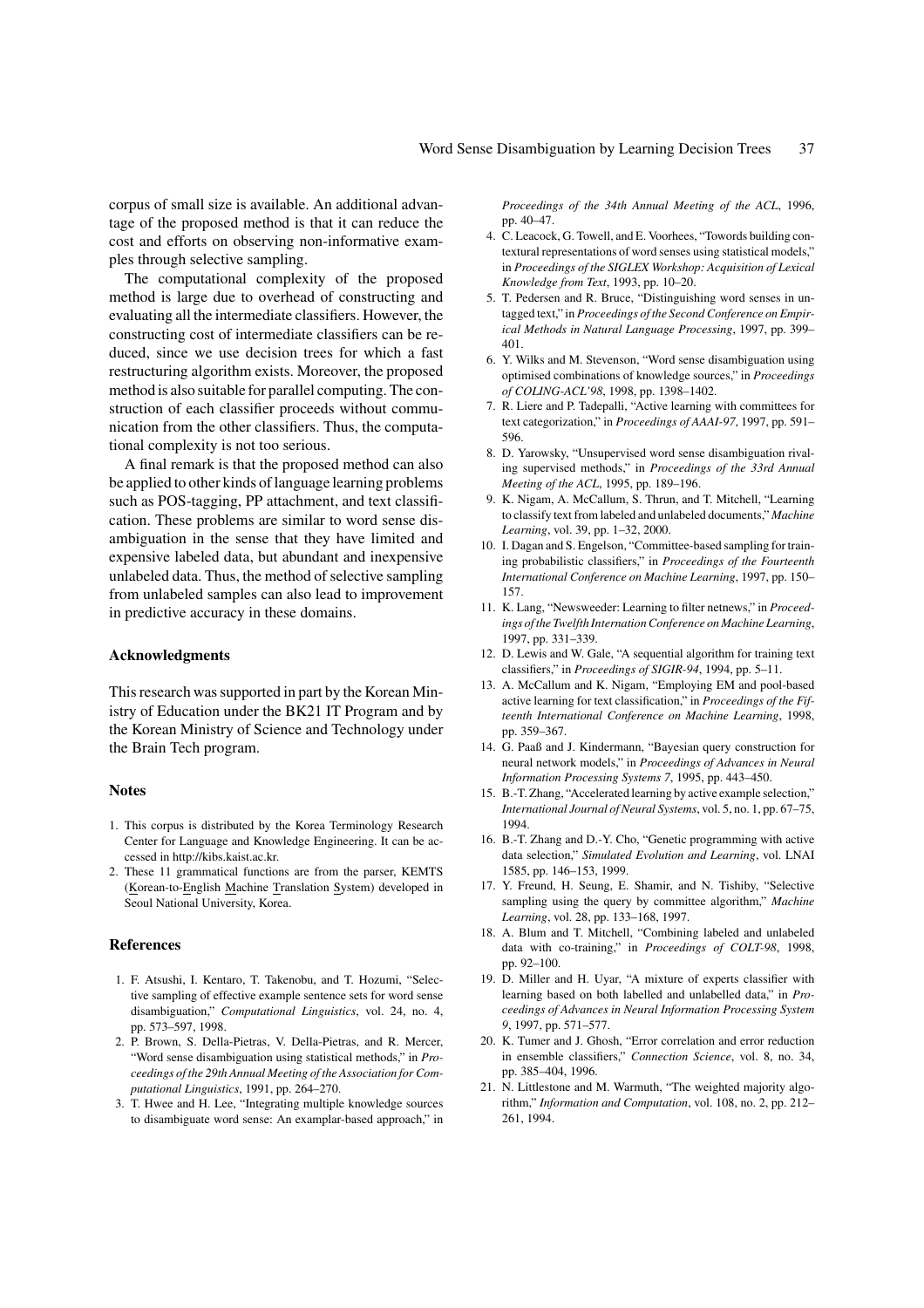corpus of small size is available. An additional advantage of the proposed method is that it can reduce the cost and efforts on observing non-informative examples through selective sampling.

The computational complexity of the proposed method is large due to overhead of constructing and evaluating all the intermediate classifiers. However, the constructing cost of intermediate classifiers can be reduced, since we use decision trees for which a fast restructuring algorithm exists. Moreover, the proposed method is also suitable for parallel computing. The construction of each classifier proceeds without communication from the other classifiers. Thus, the computational complexity is not too serious.

A final remark is that the proposed method can also be applied to other kinds of language learning problems such as POS-tagging, PP attachment, and text classification. These problems are similar to word sense disambiguation in the sense that they have limited and expensive labeled data, but abundant and inexpensive unlabeled data. Thus, the method of selective sampling from unlabeled samples can also lead to improvement in predictive accuracy in these domains.

### **Acknowledgments**

This research was supported in part by the Korean Ministry of Education under the BK21 IT Program and by the Korean Ministry of Science and Technology under the Brain Tech program.

### **Notes**

- 1. This corpus is distributed by the Korea Terminology Research Center for Language and Knowledge Engineering. It can be accessed in http://kibs.kaist.ac.kr.
- 2. These 11 grammatical functions are from the parser, KEMTS (Korean-to-English Machine Translation System) developed in Seoul National University, Korea.

#### **References**

- 1. F. Atsushi, I. Kentaro, T. Takenobu, and T. Hozumi, "Selective sampling of effective example sentence sets for word sense disambiguation," *Computational Linguistics*, vol. 24, no. 4, pp. 573–597, 1998.
- 2. P. Brown, S. Della-Pietras, V. Della-Pietras, and R. Mercer, "Word sense disambiguation using statistical methods," in *Proceedings of the 29th Annual Meeting of the Association for Computational Linguistics*, 1991, pp. 264–270.
- 3. T. Hwee and H. Lee, "Integrating multiple knowledge sources to disambiguate word sense: An examplar-based approach," in

*Proceedings of the 34th Annual Meeting of the ACL*, 1996, pp. 40–47.

- 4. C. Leacock, G. Towell, and E. Voorhees, "Towords building contextural representations of word senses using statistical models," in *Proceedings of the SIGLEX Workshop: Acquisition of Lexical Knowledge from Text*, 1993, pp. 10–20.
- 5. T. Pedersen and R. Bruce, "Distinguishing word senses in untagged text," in *Proceedings of the Second Conference on Empirical Methods in Natural Language Processing*, 1997, pp. 399– 401.
- 6. Y. Wilks and M. Stevenson, "Word sense disambiguation using optimised combinations of knowledge sources," in *Proceedings of COLING-ACL'98*, 1998, pp. 1398–1402.
- 7. R. Liere and P. Tadepalli, "Active learning with committees for text categorization," in *Proceedings of AAAI-97*, 1997, pp. 591– 596.
- 8. D. Yarowsky, "Unsupervised word sense disambiguation rivaling supervised methods," in *Proceedings of the 33rd Annual Meeting of the ACL*, 1995, pp. 189–196.
- 9. K. Nigam, A. McCallum, S. Thrun, and T. Mitchell, "Learning to classify text from labeled and unlabeled documents," *Machine Learning*, vol. 39, pp. 1–32, 2000.
- 10. I. Dagan and S. Engelson, "Committee-based sampling for training probabilistic classifiers," in *Proceedings of the Fourteenth International Conference on Machine Learning*, 1997, pp. 150– 157.
- 11. K. Lang, "Newsweeder: Learning to filter netnews," in *Proceedings of the Twelfth Internation Conference on Machine Learning*, 1997, pp. 331–339.
- 12. D. Lewis and W. Gale, "A sequential algorithm for training text classifiers," in *Proceedings of SIGIR-94*, 1994, pp. 5–11.
- 13. A. McCallum and K. Nigam, "Employing EM and pool-based active learning for text classification," in *Proceedings of the Fifteenth International Conference on Machine Learning*, 1998, pp. 359–367.
- 14. G. Paaß and J. Kindermann, "Bayesian query construction for neural network models," in *Proceedings of Advances in Neural Information Processing Systems 7*, 1995, pp. 443–450.
- 15. B.-T. Zhang, "Accelerated learning by active example selection," *International Journal of Neural Systems*, vol. 5, no. 1, pp. 67–75, 1994.
- 16. B.-T. Zhang and D.-Y. Cho, "Genetic programming with active data selection," *Simulated Evolution and Learning*, vol. LNAI 1585, pp. 146–153, 1999.
- 17. Y. Freund, H. Seung, E. Shamir, and N. Tishiby, "Selective sampling using the query by committee algorithm," *Machine Learning*, vol. 28, pp. 133–168, 1997.
- 18. A. Blum and T. Mitchell, "Combining labeled and unlabeled data with co-training," in *Proceedings of COLT-98*, 1998, pp. 92–100.
- 19. D. Miller and H. Uyar, "A mixture of experts classifier with learning based on both labelled and unlabelled data," in *Proceedings of Advances in Neural Information Processing System 9*, 1997, pp. 571–577.
- 20. K. Tumer and J. Ghosh, "Error correlation and error reduction in ensemble classifiers," *Connection Science*, vol. 8, no. 34, pp. 385–404, 1996.
- 21. N. Littlestone and M. Warmuth, "The weighted majority algorithm," *Information and Computation*, vol. 108, no. 2, pp. 212– 261, 1994.